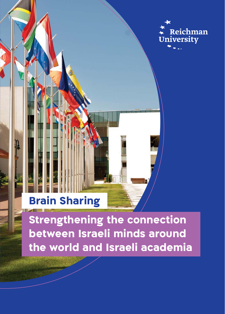

## **Brain Sharing**

Strengthening the connection between Israeli minds around the world and Israeli academia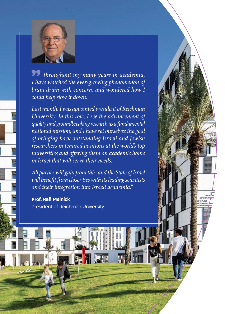

**99** Throughout my many years in academia, *I* have watched the ever-growing phenomenon of *brain drain with concern, and wondered how I could help slow it down.* 

Last month, I was appointed president of Reichman *University. In this role, I see the advancement of fundamental a as research groundbreaking and quality national mission, and I have set ourselves the goal Jewish and Israeli outstanding back bringing of researchers in tenured positions at the world's top universities and offering them an academic home in Israel that will serve their needs.* 

All parties will gain from this, and the State of Israel will benefit from closer ties with its leading scientists and their integration into Israeli academia."

**Prof. Rafi Melnick** President of Reichman University

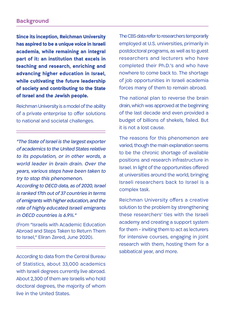**Since its inception, Reichman University has aspired to be a unique voice in Israeli academia, while remaining an integral part of it: an institution that excels in** teaching and research, enriching and advancing higher education in Israel, while cultivating the future leadership **of society and contributing to the State** of Israel and the Jewish people.

Reichman University is a model of the ability of a private enterprise to offer solutions to national and societal challenges.

"The State of Israel is the largest exporter of academics to the United States relative to its population, or in other words, a world leader in brain drain. Over the vears, various steps have been taken to try to stop this phenomenon.

According to OECD data, as of 2020, Israel is ranked 17th out of 37 countries in terms of emigrants with higher education, and the rate of highly educated Israeli emigrants in OECD countries is 6.9%."

(From "Israelis with Academic Education Abroad and Steps Taken to Return Them to Israel," Eliran Zered, June 2020).

According to data from the Central Bureau of Statistics, about 33,000 academics with Israeli degrees currently live abroad. About 2,300 of them are Israelis who hold doctoral degrees, the majority of whom live in the United States.

The CBS data refer to researchers temporarily employed at U.S. universities, primarily in postdoctoral programs, as well as to guest researchers and lecturers who have completed their Ph.D.'s and who have nowhere to come back to. The shortage of job opportunities in Israeli academia forces many of them to remain abroad.

The national plan to reverse the brain drain, which was approved at the beginning of the last decade and even provided a budget of billions of shekels, failed. But it is not a lost cause.

The reasons for this phenomenon are varied, though the main explanation seems to be the chronic shortage of available positions and research infrastructure in Israel. In light of the opportunities offered at universities around the world, bringing Israeli researchers back to Israel is a complex task.

Reichman University offers a creative solution to the problem by strengthening these researchers' ties with the Israeli academy and creating a support system for them - inviting them to act as lecturers for intensive courses, engaging in joint research with them, hosting them for a sabbatical year, and more.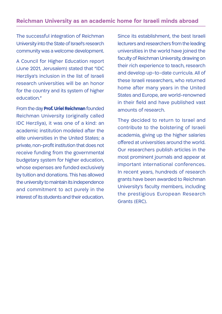## **Reichman University as an academic home for Israeli minds abroad**

The successful integration of Reichman University into the State of Israel's research community was a welcome development.

A Council for Higher Education report (June 2021, Jerusalem) stated that "IDC Herzliya's inclusion in the list of Israeli research universities will be an honor for the country and its system of higher education."

From the day **Prof. Uriel Reichman** founded Reichman University (originally called IDC Herzliya), it was one of a kind: an academic institution modeled after the elite universities in the United States: a private, non-profit institution that does not receive funding from the governmental budgetary system for higher education, whose expenses are funded exclusively by tuition and donations. This has allowed the university to maintain its independence and commitment to act purely in the interest of its students and their education.

Since its establishment, the best Israeli lecturers and researchers from the leading universities in the world have joined the faculty of Reichman University, drawing on their rich experience to teach, research and develop up-to-date curricula. All of these Israeli researchers, who returned home after many years in the United States and Europe, are world-renowned in their field and have published vast amounts of research.

They decided to return to Israel and contribute to the bolstering of Israeli academia, giving up the higher salaries offered at universities around the world. Our researchers publish articles in the most prominent journals and appear at important international conferences. In recent years, hundreds of research grants have been awarded to Reichman University's faculty members, including the prestigious European Research Grants (ERC).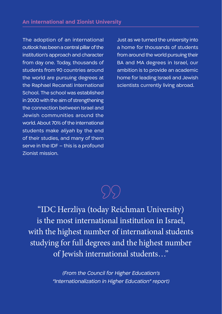The adoption of an international outlook has been a central pillar of the institution's approach and character from day one. Today, thousands of students from 90 countries around the world are pursuing degrees at the Raphael Recanati International School. The school was established in 2000 with the aim of strengthening the connection between Israel and Jewish communities around the world. About 70% of the international students make aliyah by the end of their studies, and many of them serve in the IDF  $-$  this is a profound **Zionist mission.** 

Just as we turned the university into a home for thousands of students from around the world pursuing their BA and MA degrees in Israel, our ambition is to provide an academic home for leading Israeli and Jewish scientists currently living abroad.

"IDC Herzliya (today Reichman University) is the most international institution in Israel, with the highest number of international students studying for full degrees and the highest number of Jewish international students..."

> (From the Council for Higher Education's "Internationalization in Higher Education" report)